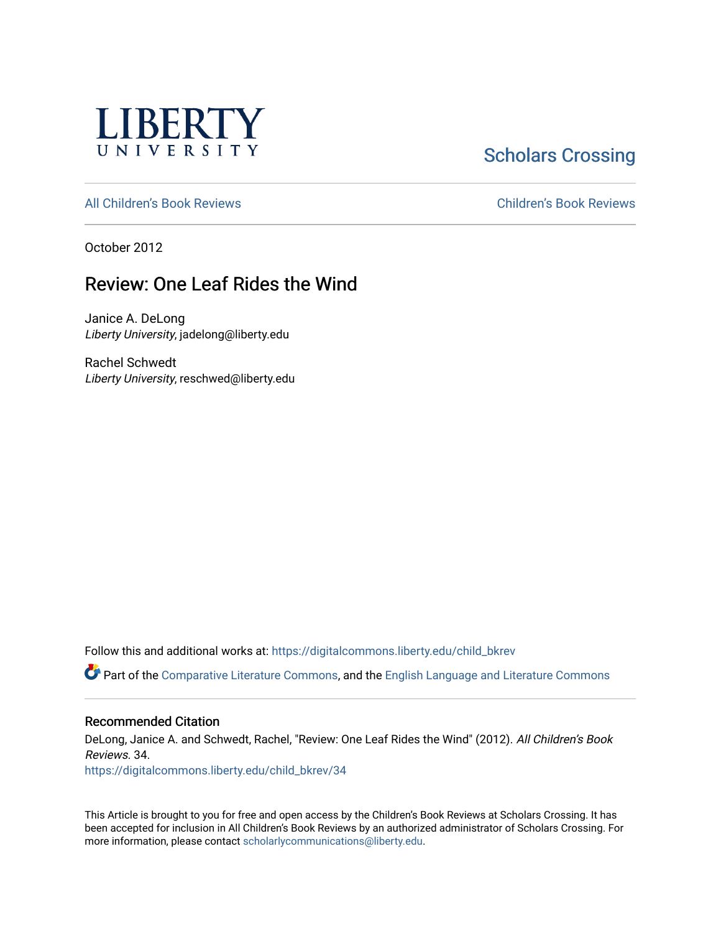

# **Scholars Crossing**

[All Children's Book Reviews](https://digitalcommons.liberty.edu/child_bkrev) [Children's Book Reviews](https://digitalcommons.liberty.edu/child_bookrev) 

October 2012

# Review: One Leaf Rides the Wind

Janice A. DeLong Liberty University, jadelong@liberty.edu

Rachel Schwedt Liberty University, reschwed@liberty.edu

Follow this and additional works at: [https://digitalcommons.liberty.edu/child\\_bkrev](https://digitalcommons.liberty.edu/child_bkrev?utm_source=digitalcommons.liberty.edu%2Fchild_bkrev%2F34&utm_medium=PDF&utm_campaign=PDFCoverPages) 

Part of the [Comparative Literature Commons](http://network.bepress.com/hgg/discipline/454?utm_source=digitalcommons.liberty.edu%2Fchild_bkrev%2F34&utm_medium=PDF&utm_campaign=PDFCoverPages), and the [English Language and Literature Commons](http://network.bepress.com/hgg/discipline/455?utm_source=digitalcommons.liberty.edu%2Fchild_bkrev%2F34&utm_medium=PDF&utm_campaign=PDFCoverPages)

#### Recommended Citation

DeLong, Janice A. and Schwedt, Rachel, "Review: One Leaf Rides the Wind" (2012). All Children's Book Reviews. 34.

[https://digitalcommons.liberty.edu/child\\_bkrev/34](https://digitalcommons.liberty.edu/child_bkrev/34?utm_source=digitalcommons.liberty.edu%2Fchild_bkrev%2F34&utm_medium=PDF&utm_campaign=PDFCoverPages)

This Article is brought to you for free and open access by the Children's Book Reviews at Scholars Crossing. It has been accepted for inclusion in All Children's Book Reviews by an authorized administrator of Scholars Crossing. For more information, please contact [scholarlycommunications@liberty.edu](mailto:scholarlycommunications@liberty.edu).